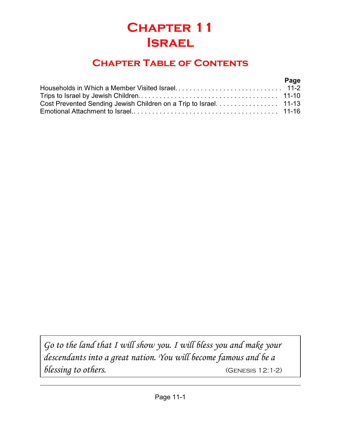# **Chapter 11 Israel**

## **Chapter Table of Contents**

#### **Page**

| Cost Prevented Sending Jewish Children on a Trip to Israel. 11-13 |  |
|-------------------------------------------------------------------|--|
|                                                                   |  |

*Go to the land that I will show you. I will bless you and make your descendants into a great nation. You will become famous and be a blessing to others.* (Genesis 12:1-2)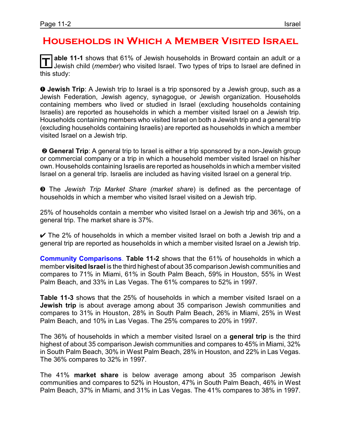#### **Households in Which a Member Visited Israel**

**T able 11-1** shows that 61% of Jewish households in Broward contain an adult or a Jewish child (*member*) who visited Israel. Two types of trips to Israel are defined in this study:

**O** Jewish Trip: A Jewish trip to Israel is a trip sponsored by a Jewish group, such as a Jewish Federation, Jewish agency, synagogue, or Jewish organization. Households containing members who lived or studied in Israel (excluding households containing Israelis) are reported as households in which a member visited Israel on a Jewish trip. Households containing members who visited Israel on both a Jewish trip and a general trip (excluding households containing Israelis) are reported as households in which a member visited Israel on a Jewish trip.

**<sup>@</sup>** General Trip: A general trip to Israel is either a trip sponsored by a non-Jewish group or commercial company or a trip in which a household member visited Israel on his/her own. Households containing Israelis are reported as households in which a member visited Israel on a general trip. Israelis are included as having visited Israel on a general trip.

**<sup>3</sup>** The *Jewish Trip Market Share (market share)* is defined as the percentage of households in which a member who visited Israel visited on a Jewish trip.

25% of households contain a member who visited Israel on a Jewish trip and 36%, on a general trip. The market share is 37%.

 $\checkmark$  The 2% of households in which a member visited Israel on both a Jewish trip and a general trip are reported as households in which a member visited Israel on a Jewish trip.

**Community Comparisons**. **Table 11-2** shows that the 61% of households in which a member **visited Israel** is the third highest of about 35 comparison Jewish communities and compares to 71% in Miami, 61% in South Palm Beach, 59% in Houston, 55% in West Palm Beach, and 33% in Las Vegas. The 61% compares to 52% in 1997.

**Table 11-3** shows that the 25% of households in which a member visited Israel on a **Jewish trip** is about average among about 35 comparison Jewish communities and compares to 31% in Houston, 28% in South Palm Beach, 26% in Miami, 25% in West Palm Beach, and 10% in Las Vegas. The 25% compares to 20% in 1997.

The 36% of households in which a member visited Israel on a **general trip** is the third highest of about 35 comparison Jewish communities and compares to 45% in Miami, 32% in South Palm Beach, 30% in West Palm Beach, 28% in Houston, and 22% in Las Vegas. The 36% compares to 32% in 1997.

The 41% **market share** is below average among about 35 comparison Jewish communities and compares to 52% in Houston, 47% in South Palm Beach, 46% in West Palm Beach, 37% in Miami, and 31% in Las Vegas. The 41% compares to 38% in 1997.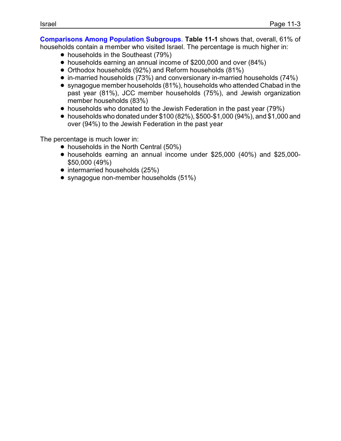**Comparisons Among Population Subgroups**. **Table 11-1** shows that, overall, 61% of households contain a member who visited Israel. The percentage is much higher in:

- households in the Southeast (79%)
- ! households earning an annual income of \$200,000 and over (84%)
- ! Orthodox households (92%) and Reform households (81%)
- ! in-married households (73%) and conversionary in-married households (74%)
- synagogue member households (81%), households who attended Chabad in the past year (81%), JCC member households (75%), and Jewish organization member households (83%)
- households who donated to the Jewish Federation in the past year (79%)
- $\bullet$  households who donated under \$100 (82%), \$500-\$1,000 (94%), and \$1,000 and over (94%) to the Jewish Federation in the past year

The percentage is much lower in:

- households in the North Central (50%)
- ! households earning an annual income under \$25,000 (40%) and \$25,000- \$50,000 (49%)
- intermarried households (25%)
- synagogue non-member households (51%)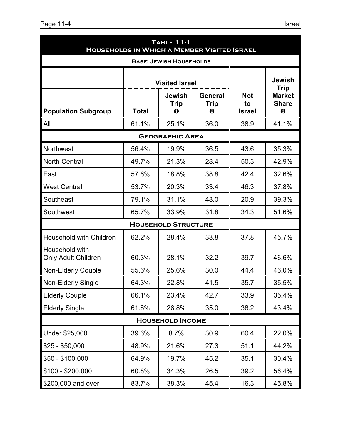| Page 11-4 | Israel |
|-----------|--------|
|           |        |

| <b>TABLE 11-1</b><br><b>HOUSEHOLDS IN WHICH A MEMBER VISITED ISRAEL</b> |              |                                   |                             |                                   |                                                                       |
|-------------------------------------------------------------------------|--------------|-----------------------------------|-----------------------------|-----------------------------------|-----------------------------------------------------------------------|
| <b>BASE: JEWISH HOUSEHOLDS</b><br><b>Visited Israel</b>                 |              |                                   |                             |                                   | <b>Jewish</b>                                                         |
| <b>Population Subgroup</b>                                              | <b>Total</b> | <b>Jewish</b><br><b>Trip</b><br>O | <b>General</b><br>Trip<br>❷ | <b>Not</b><br>to<br><b>Israel</b> | <b>Trip</b><br><b>Market</b><br><b>Share</b><br>$\boldsymbol{\Theta}$ |
| All                                                                     | 61.1%        | 25.1%                             | 36.0                        | 38.9                              | 41.1%                                                                 |
|                                                                         |              | <b>GEOGRAPHIC AREA</b>            |                             |                                   |                                                                       |
| <b>Northwest</b>                                                        | 56.4%        | 19.9%                             | 36.5                        | 43.6                              | 35.3%                                                                 |
| <b>North Central</b>                                                    | 49.7%        | 21.3%                             | 28.4                        | 50.3                              | 42.9%                                                                 |
| East                                                                    | 57.6%        | 18.8%                             | 38.8                        | 42.4                              | 32.6%                                                                 |
| <b>West Central</b>                                                     | 53.7%        | 20.3%                             | 33.4                        | 46.3                              | 37.8%                                                                 |
| Southeast                                                               | 79.1%        | 31.1%                             | 48.0                        | 20.9                              | 39.3%                                                                 |
| Southwest                                                               | 65.7%        | 33.9%                             | 31.8                        | 34.3                              | 51.6%                                                                 |
|                                                                         |              | <b>HOUSEHOLD STRUCTURE</b>        |                             |                                   |                                                                       |
| <b>Household with Children</b>                                          | 62.2%        | 28.4%                             | 33.8                        | 37.8                              | 45.7%                                                                 |
| Household with<br><b>Only Adult Children</b>                            | 60.3%        | 28.1%                             | 32.2                        | 39.7                              | 46.6%                                                                 |
| <b>Non-Elderly Couple</b>                                               | 55.6%        | 25.6%                             | 30.0                        | 44.4                              | 46.0%                                                                 |
| Non-Elderly Single                                                      | 64.3%        | 22.8%                             | 41.5                        | 35.7                              | 35.5%                                                                 |
| <b>Elderly Couple</b>                                                   | 66.1%        | 23.4%                             | 42.7                        | 33.9                              | 35.4%                                                                 |
| <b>Elderly Single</b>                                                   | 61.8%        | 26.8%                             | 35.0                        | 38.2                              | 43.4%                                                                 |
| <b>HOUSEHOLD INCOME</b>                                                 |              |                                   |                             |                                   |                                                                       |
| Under \$25,000                                                          | 39.6%        | 8.7%                              | 30.9                        | 60.4                              | 22.0%                                                                 |
| $$25 - $50,000$                                                         | 48.9%        | 21.6%                             | 27.3                        | 51.1                              | 44.2%                                                                 |
| $$50 - $100,000$                                                        | 64.9%        | 19.7%                             | 45.2                        | 35.1                              | 30.4%                                                                 |
| $$100 - $200,000$                                                       | 60.8%        | 34.3%                             | 26.5                        | 39.2                              | 56.4%                                                                 |
| \$200,000 and over                                                      | 83.7%        | 38.3%                             | 45.4                        | 16.3                              | 45.8%                                                                 |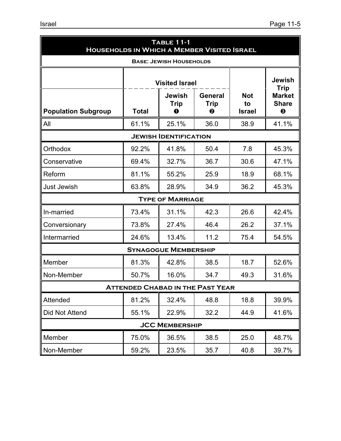| <b>TABLE 11-1</b><br><b>HOUSEHOLDS IN WHICH A MEMBER VISITED ISRAEL</b> |                       |                                         |                             |                                   |                                                        |  |
|-------------------------------------------------------------------------|-----------------------|-----------------------------------------|-----------------------------|-----------------------------------|--------------------------------------------------------|--|
|                                                                         |                       | <b>BASE: JEWISH HOUSEHOLDS</b>          |                             |                                   |                                                        |  |
|                                                                         |                       | <b>Visited Israel</b>                   |                             |                                   | Jewish<br><b>Trip</b>                                  |  |
| <b>Population Subgroup</b>                                              | <b>Total</b>          | <b>Jewish</b><br>Trip<br>0              | <b>General</b><br>Trip<br>❷ | <b>Not</b><br>to<br><b>Israel</b> | <b>Market</b><br><b>Share</b><br>$\boldsymbol{\Theta}$ |  |
| All                                                                     | 61.1%                 | 25.1%                                   | 36.0                        | 38.9                              | 41.1%                                                  |  |
|                                                                         |                       | <b>JEWISH IDENTIFICATION</b>            |                             |                                   |                                                        |  |
| Orthodox                                                                | 92.2%                 | 41.8%                                   | 50.4                        | 7.8                               | 45.3%                                                  |  |
| Conservative                                                            | 69.4%                 | 32.7%                                   | 36.7                        | 30.6                              | 47.1%                                                  |  |
| Reform                                                                  | 81.1%                 | 55.2%                                   | 25.9                        | 18.9                              | 68.1%                                                  |  |
| <b>Just Jewish</b>                                                      | 63.8%                 | 28.9%                                   | 34.9                        | 36.2                              | 45.3%                                                  |  |
|                                                                         |                       | <b>TYPE OF MARRIAGE</b>                 |                             |                                   |                                                        |  |
| In-married                                                              | 73.4%                 | 31.1%                                   | 42.3                        | 26.6                              | 42.4%                                                  |  |
| Conversionary                                                           | 73.8%                 | 27.4%                                   | 46.4                        | 26.2                              | 37.1%                                                  |  |
| Intermarried                                                            | 24.6%                 | 13.4%                                   | 11.2                        | 75.4                              | 54.5%                                                  |  |
|                                                                         |                       | <b>SYNAGOGUE MEMBERSHIP</b>             |                             |                                   |                                                        |  |
| Member                                                                  | 81.3%                 | 42.8%                                   | 38.5                        | 18.7                              | 52.6%                                                  |  |
| Non-Member                                                              | 50.7%                 | 16.0%                                   | 34.7                        | 49.3                              | 31.6%                                                  |  |
|                                                                         |                       | <b>ATTENDED CHABAD IN THE PAST YEAR</b> |                             |                                   |                                                        |  |
| Attended                                                                | 81.2%                 | 32.4%                                   | 48.8                        | 18.8                              | 39.9%                                                  |  |
| <b>Did Not Attend</b>                                                   | 55.1%                 | 22.9%                                   | 32.2                        | 44.9                              | 41.6%                                                  |  |
|                                                                         | <b>JCC MEMBERSHIP</b> |                                         |                             |                                   |                                                        |  |
| Member                                                                  | 75.0%                 | 36.5%                                   | 38.5                        | 25.0                              | 48.7%                                                  |  |
| Non-Member                                                              | 59.2%                 | 23.5%                                   | 35.7                        | 40.8                              | 39.7%                                                  |  |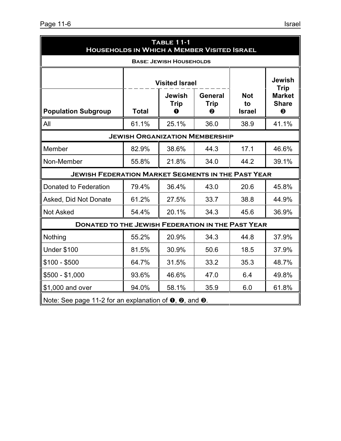| <b>TABLE 11-1</b><br><b>HOUSEHOLDS IN WHICH A MEMBER VISITED ISRAEL</b>                    |              |                                                                                           |      |      |                                                                                        |
|--------------------------------------------------------------------------------------------|--------------|-------------------------------------------------------------------------------------------|------|------|----------------------------------------------------------------------------------------|
|                                                                                            |              | <b>BASE: JEWISH HOUSEHOLDS</b>                                                            |      |      |                                                                                        |
| <b>Population Subgroup</b>                                                                 | <b>Total</b> | <b>Visited Israel</b><br>Jewish<br><b>General</b><br><b>Trip</b><br><b>Trip</b><br>0<br>❷ |      |      | <b>Jewish</b><br><b>Trip</b><br><b>Market</b><br><b>Share</b><br>$\boldsymbol{\Theta}$ |
| All                                                                                        | 61.1%        | 25.1%                                                                                     | 36.0 | 38.9 | 41.1%                                                                                  |
|                                                                                            |              | <b>JEWISH ORGANIZATION MEMBERSHIP</b>                                                     |      |      |                                                                                        |
| Member                                                                                     | 82.9%        | 38.6%                                                                                     | 44.3 | 17.1 | 46.6%                                                                                  |
| Non-Member                                                                                 | 55.8%        | 21.8%                                                                                     | 34.0 | 44.2 | 39.1%                                                                                  |
| <b>JEWISH FEDERATION MARKET SEGMENTS IN THE PAST YEAR</b>                                  |              |                                                                                           |      |      |                                                                                        |
| Donated to Federation                                                                      | 79.4%        | 36.4%                                                                                     | 43.0 | 20.6 | 45.8%                                                                                  |
| Asked, Did Not Donate                                                                      | 61.2%        | 27.5%                                                                                     | 33.7 | 38.8 | 44.9%                                                                                  |
| <b>Not Asked</b>                                                                           | 54.4%        | 20.1%                                                                                     | 34.3 | 45.6 | 36.9%                                                                                  |
| <b>DONATED TO THE JEWISH FEDERATION IN THE PAST YEAR</b>                                   |              |                                                                                           |      |      |                                                                                        |
| Nothing                                                                                    | 55.2%        | 20.9%                                                                                     | 34.3 | 44.8 | 37.9%                                                                                  |
| <b>Under \$100</b>                                                                         | 81.5%        | 30.9%                                                                                     | 50.6 | 18.5 | 37.9%                                                                                  |
| $$100 - $500$                                                                              | 64.7%        | 31.5%                                                                                     | 33.2 | 35.3 | 48.7%                                                                                  |
| $$500 - $1,000$                                                                            | 93.6%        | 46.6%                                                                                     | 47.0 | 6.4  | 49.8%                                                                                  |
| \$1,000 and over                                                                           | 94.0%        | 58.1%                                                                                     | 35.9 | 6.0  | 61.8%                                                                                  |
| Note: See page 11-2 for an explanation of $\mathbf{0}$ , $\mathbf{0}$ , and $\mathbf{0}$ . |              |                                                                                           |      |      |                                                                                        |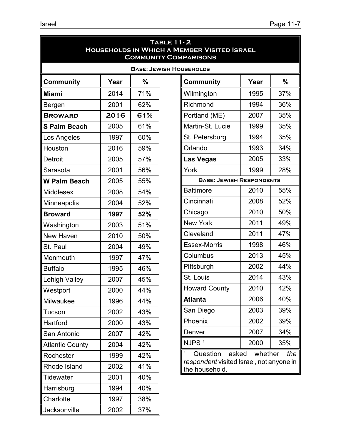| <b>TABLE 11-2</b><br><b>HOUSEHOLDS IN WHICH A MEMBER VISITED ISRAEL</b><br><b>COMMUNITY COMPARISONS</b> |                                                |     |                                                            |                  |               |
|---------------------------------------------------------------------------------------------------------|------------------------------------------------|-----|------------------------------------------------------------|------------------|---------------|
|                                                                                                         |                                                |     | <b>BASE: JEWISH HOUSEHOLDS</b>                             |                  |               |
| <b>Community</b>                                                                                        | Year                                           | %   | <b>Community</b>                                           | Year             | $\frac{0}{0}$ |
| <b>Miami</b>                                                                                            | 2014                                           | 71% | Wilmington                                                 | 1995             | 37%           |
| Bergen                                                                                                  | 2001                                           | 62% | Richmond                                                   | 1994             | 36%           |
| <b>BROWARD</b>                                                                                          | 2016                                           | 61% | Portland (ME)                                              | 2007             | 35%           |
| <b>S Palm Beach</b>                                                                                     | 2005                                           | 61% | Martin-St. Lucie                                           | 1999             | 35%           |
| Los Angeles                                                                                             | 1997                                           | 60% | St. Petersburg                                             | 1994             | 35%           |
| Houston                                                                                                 | 2016                                           | 59% | Orlando                                                    | 1993             | 34%           |
| Detroit                                                                                                 | 2005                                           | 57% | <b>Las Vegas</b>                                           | 2005             | 33%           |
| Sarasota                                                                                                | 2001                                           | 56% | York                                                       | 1999             | 28%           |
| <b>W Palm Beach</b>                                                                                     | <b>BASE: JEWISH RESPONDENTS</b><br>2005<br>55% |     |                                                            |                  |               |
| <b>Middlesex</b>                                                                                        | 2008                                           | 54% | <b>Baltimore</b>                                           | 2010             | 55%           |
| <b>Minneapolis</b>                                                                                      | 2004                                           | 52% | Cincinnati                                                 | 2008             | 52%           |
| <b>Broward</b>                                                                                          | 1997                                           | 52% | Chicago                                                    | 2010             | 50%           |
| Washington                                                                                              | 2003                                           | 51% | <b>New York</b>                                            | 2011             | 49%           |
| New Haven                                                                                               | 2010                                           | 50% | Cleveland                                                  | 2011             | 47%           |
| St. Paul                                                                                                | 2004                                           | 49% | <b>Essex-Morris</b>                                        | 1998             | 46%           |
| Monmouth                                                                                                | 1997                                           | 47% | Columbus                                                   | 2013             | 45%           |
| <b>Buffalo</b>                                                                                          | 1995                                           | 46% | Pittsburgh                                                 | 2002             | 44%           |
| <b>Lehigh Valley</b>                                                                                    | 2007                                           | 45% | St. Louis                                                  | 2014             | 43%           |
| Westport                                                                                                | 2000                                           | 44% | <b>Howard County</b>                                       | 2010             | 42%           |
| Milwaukee                                                                                               | 1996                                           | 44% | <b>Atlanta</b>                                             | 2006             | 40%           |
| Tucson                                                                                                  | 2002                                           | 43% | San Diego                                                  | 2003             | 39%           |
| Hartford                                                                                                | 2000                                           | 43% | Phoenix                                                    | 2002             | 39%           |
| San Antonio                                                                                             | 2007                                           | 42% | Denver                                                     | 2007             | 34%           |
| <b>Atlantic County</b>                                                                                  | 2004                                           | 42% | NJPS <sup>1</sup>                                          | 2000             | 35%           |
| Rochester                                                                                               | 1999                                           | 42% | Question                                                   | asked<br>whether | the           |
| Rhode Island                                                                                            | 2002                                           | 41% | respondent visited Israel, not anyone in<br>the household. |                  |               |
| <b>Tidewater</b>                                                                                        | 2001                                           | 40% |                                                            |                  |               |
| Harrisburg                                                                                              | 1994                                           | 40% |                                                            |                  |               |
| Charlotte                                                                                               | 1997                                           | 38% |                                                            |                  |               |
| Jacksonville                                                                                            | 2002                                           | 37% |                                                            |                  |               |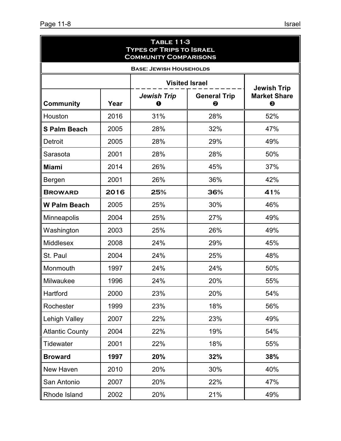| <b>TABLE 11-3</b><br><b>TYPES OF TRIPS TO ISRAEL</b><br><b>COMMUNITY COMPARISONS</b> |      |                                |                          |                          |
|--------------------------------------------------------------------------------------|------|--------------------------------|--------------------------|--------------------------|
|                                                                                      |      | <b>BASE: JEWISH HOUSEHOLDS</b> |                          |                          |
|                                                                                      |      |                                | <b>Visited Israel</b>    | <b>Jewish Trip</b>       |
| <b>Community</b>                                                                     | Year | <b>Jewish Trip</b><br>0        | <b>General Trip</b><br>❷ | <b>Market Share</b><br>❸ |
| Houston                                                                              | 2016 | 31%                            | 28%                      | 52%                      |
| <b>S Palm Beach</b>                                                                  | 2005 | 28%                            | 32%                      | 47%                      |
| Detroit                                                                              | 2005 | 28%                            | 29%                      | 49%                      |
| Sarasota                                                                             | 2001 | 28%                            | 28%                      | 50%                      |
| <b>Miami</b>                                                                         | 2014 | 26%                            | 45%                      | 37%                      |
| Bergen                                                                               | 2001 | 26%                            | 36%                      | 42%                      |
| <b>BROWARD</b>                                                                       | 2016 | 25%                            | 36%                      | 41%                      |
| <b>W Palm Beach</b>                                                                  | 2005 | 25%                            | 30%                      | 46%                      |
| Minneapolis                                                                          | 2004 | 25%                            | 27%                      | 49%                      |
| Washington                                                                           | 2003 | 25%                            | 26%                      | 49%                      |
| Middlesex                                                                            | 2008 | 24%                            | 29%                      | 45%                      |
| St. Paul                                                                             | 2004 | 24%                            | 25%                      | 48%                      |
| Monmouth                                                                             | 1997 | 24%                            | 24%                      | 50%                      |
| Milwaukee                                                                            | 1996 | 24%                            | 20%                      | 55%                      |
| Hartford                                                                             | 2000 | 23%                            | 20%                      | 54%                      |
| Rochester                                                                            | 1999 | 23%                            | 18%                      | 56%                      |
| <b>Lehigh Valley</b>                                                                 | 2007 | 22%                            | 23%                      | 49%                      |
| <b>Atlantic County</b>                                                               | 2004 | 22%                            | 19%                      | 54%                      |
| <b>Tidewater</b>                                                                     | 2001 | 22%                            | 18%                      | 55%                      |
| <b>Broward</b>                                                                       | 1997 | 20%                            | 32%                      | 38%                      |
| New Haven                                                                            | 2010 | 20%                            | 30%                      | 40%                      |
| San Antonio                                                                          | 2007 | 20%                            | 22%                      | 47%                      |
| Rhode Island                                                                         | 2002 | 20%                            | 21%                      | 49%                      |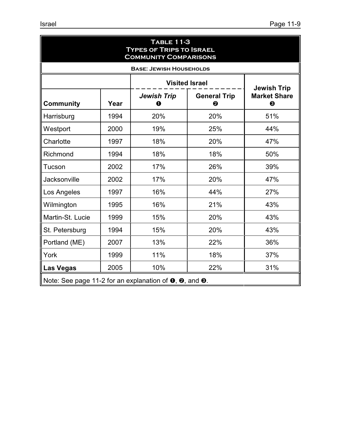| <b>TABLE 11-3</b><br><b>TYPES OF TRIPS TO ISRAEL</b><br><b>COMMUNITY COMPARISONS</b>       |      |                                |                          |                          |
|--------------------------------------------------------------------------------------------|------|--------------------------------|--------------------------|--------------------------|
|                                                                                            |      | <b>BASE: JEWISH HOUSEHOLDS</b> |                          |                          |
|                                                                                            |      |                                | <b>Visited Israel</b>    | <b>Jewish Trip</b>       |
| <b>Community</b>                                                                           | Year | <b>Jewish Trip</b><br>0        | <b>General Trip</b><br>❷ | <b>Market Share</b><br>❸ |
| Harrisburg                                                                                 | 1994 | 20%                            | 20%                      | 51%                      |
| Westport                                                                                   | 2000 | 19%                            | 25%                      | 44%                      |
| Charlotte                                                                                  | 1997 | 18%                            | 20%                      | 47%                      |
| Richmond                                                                                   | 1994 | 18%                            | 18%                      | 50%                      |
| Tucson                                                                                     | 2002 | 17%                            | 26%                      | 39%                      |
| Jacksonville                                                                               | 2002 | 17%                            | 20%                      | 47%                      |
| Los Angeles                                                                                | 1997 | 16%                            | 44%                      | 27%                      |
| Wilmington                                                                                 | 1995 | 16%                            | 21%                      | 43%                      |
| Martin-St. Lucie                                                                           | 1999 | 15%                            | 20%                      | 43%                      |
| St. Petersburg                                                                             | 1994 | 15%                            | 20%                      | 43%                      |
| Portland (ME)                                                                              | 2007 | 13%                            | 22%                      | 36%                      |
| York                                                                                       | 1999 | 11%                            | 18%                      | 37%                      |
| <b>Las Vegas</b>                                                                           | 2005 | 10%                            | 22%                      | 31%                      |
| Note: See page 11-2 for an explanation of $\mathbf{0}$ , $\mathbf{0}$ , and $\mathbf{0}$ . |      |                                |                          |                          |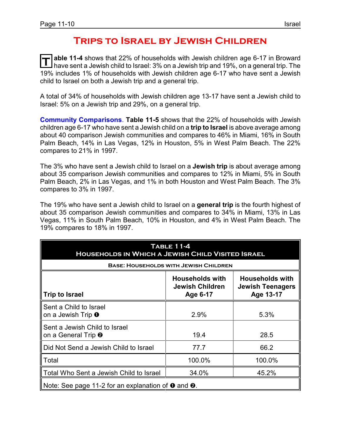#### **Trips to Israel by Jewish Children**

T able 11-4 shows that 22% of households with Jewish children age 6-17 in Broward<br>I have sent a Jewish child to Israel: 3% on a Jewish trip and 19%, on a general trip. The **able 11-4** shows that 22% of households with Jewish children age 6-17 in Broward 19% includes 1% of households with Jewish children age 6-17 who have sent a Jewish child to Israel on both a Jewish trip and a general trip.

A total of 34% of households with Jewish children age 13-17 have sent a Jewish child to Israel: 5% on a Jewish trip and 29%, on a general trip.

**Community Comparisons**. **Table 11-5** shows that the 22% of households with Jewish children age 6-17 who have sent a Jewish child on a **trip to Israel** is above average among about 40 comparison Jewish communities and compares to 46% in Miami, 16% in South Palm Beach, 14% in Las Vegas, 12% in Houston, 5% in West Palm Beach. The 22% compares to 21% in 1997.

The 3% who have sent a Jewish child to Israel on a **Jewish trip** is about average among about 35 comparison Jewish communities and compares to 12% in Miami, 5% in South Palm Beach, 2% in Las Vegas, and 1% in both Houston and West Palm Beach. The 3% compares to 3% in 1997.

The 19% who have sent a Jewish child to Israel on a **general trip** is the fourth highest of about 35 comparison Jewish communities and compares to 34% in Miami, 13% in Las Vegas, 11% in South Palm Beach, 10% in Houston, and 4% in West Palm Beach. The 19% compares to 18% in 1997.

| <b>TABLE 11-4</b><br><b>HOUSEHOLDS IN WHICH A JEWISH CHILD VISITED ISRAEL</b>                                                             |                                              |        |  |  |  |
|-------------------------------------------------------------------------------------------------------------------------------------------|----------------------------------------------|--------|--|--|--|
|                                                                                                                                           | <b>BASE: HOUSEHOLDS WITH JEWISH CHILDREN</b> |        |  |  |  |
| <b>Households with</b><br><b>Households with</b><br><b>Jewish Children</b><br>Jewish Teenagers<br>Age 13-17<br>Trip to Israel<br>Age 6-17 |                                              |        |  |  |  |
| Sent a Child to Israel<br>on a Jewish Trip <b>O</b>                                                                                       | 2.9%                                         | 5.3%   |  |  |  |
| Sent a Jewish Child to Israel<br>on a General Trip <sup>2</sup>                                                                           | 19.4                                         | 28.5   |  |  |  |
| Did Not Send a Jewish Child to Israel                                                                                                     | 77.7                                         | 66.2   |  |  |  |
| Total                                                                                                                                     | 100.0%                                       | 100.0% |  |  |  |
| Total Who Sent a Jewish Child to Israel                                                                                                   | 34.0%                                        | 45.2%  |  |  |  |
| Note: See page 11-2 for an explanation of $\mathbf 0$ and $\mathbf 2$ .                                                                   |                                              |        |  |  |  |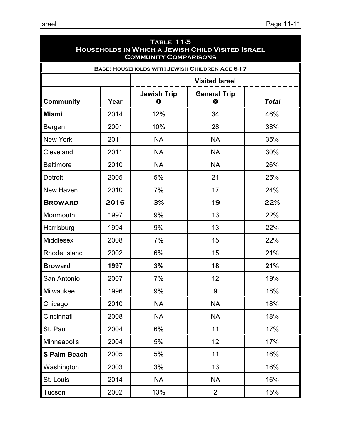| <b>TABLE 11-5</b><br><b>HOUSEHOLDS IN WHICH A JEWISH CHILD VISITED ISRAEL</b><br><b>COMMUNITY COMPARISONS</b> |      |                               |                                                       |              |
|---------------------------------------------------------------------------------------------------------------|------|-------------------------------|-------------------------------------------------------|--------------|
|                                                                                                               |      |                               | <b>BASE: HOUSEHOLDS WITH JEWISH CHILDREN AGE 6-17</b> |              |
|                                                                                                               |      |                               | <b>Visited Israel</b>                                 |              |
| <b>Community</b>                                                                                              | Year | <b>Jewish Trip</b><br>$\bf o$ | <b>General Trip</b><br>❷                              | <b>Total</b> |
| <b>Miami</b>                                                                                                  | 2014 | 12%                           | 34                                                    | 46%          |
| Bergen                                                                                                        | 2001 | 10%                           | 28                                                    | 38%          |
| <b>New York</b>                                                                                               | 2011 | <b>NA</b>                     | <b>NA</b>                                             | 35%          |
| Cleveland                                                                                                     | 2011 | <b>NA</b>                     | <b>NA</b>                                             | 30%          |
| <b>Baltimore</b>                                                                                              | 2010 | <b>NA</b>                     | <b>NA</b>                                             | 26%          |
| <b>Detroit</b>                                                                                                | 2005 | 5%                            | 21                                                    | 25%          |
| New Haven                                                                                                     | 2010 | 7%                            | 17                                                    | 24%          |
| <b>BROWARD</b>                                                                                                | 2016 | 3%                            | 19                                                    | 22%          |
| Monmouth                                                                                                      | 1997 | 9%                            | 13                                                    | 22%          |
| Harrisburg                                                                                                    | 1994 | 9%                            | 13                                                    | 22%          |
| <b>Middlesex</b>                                                                                              | 2008 | 7%                            | 15                                                    | 22%          |
| Rhode Island                                                                                                  | 2002 | 6%                            | 15                                                    | 21%          |
| <b>Broward</b>                                                                                                | 1997 | 3%                            | 18                                                    | 21%          |
| San Antonio                                                                                                   | 2007 | 7%                            | 12                                                    | 19%          |
| Milwaukee                                                                                                     | 1996 | 9%                            | 9                                                     | 18%          |
| Chicago                                                                                                       | 2010 | <b>NA</b>                     | <b>NA</b>                                             | 18%          |
| Cincinnati                                                                                                    | 2008 | <b>NA</b>                     | <b>NA</b>                                             | 18%          |
| St. Paul                                                                                                      | 2004 | 6%                            | 11                                                    | 17%          |
| Minneapolis                                                                                                   | 2004 | 5%                            | 12                                                    | 17%          |
| <b>S Palm Beach</b>                                                                                           | 2005 | 5%                            | 11                                                    | 16%          |
| Washington                                                                                                    | 2003 | 3%                            | 13                                                    | 16%          |
| St. Louis                                                                                                     | 2014 | <b>NA</b>                     | <b>NA</b>                                             | 16%          |
| Tucson                                                                                                        | 2002 | 13%                           | $\overline{2}$                                        | 15%          |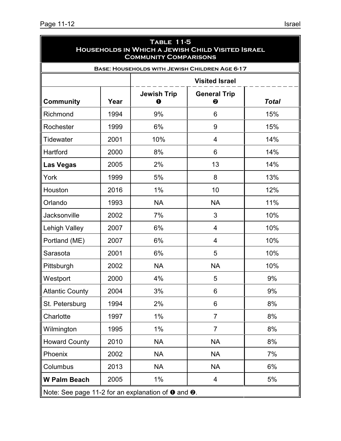| <b>TABLE 11-5</b><br>HOUSEHOLDS IN WHICH A JEWISH CHILD VISITED ISRAEL<br><b>COMMUNITY COMPARISONS</b> |                       |                         |                                                       |              |  |  |
|--------------------------------------------------------------------------------------------------------|-----------------------|-------------------------|-------------------------------------------------------|--------------|--|--|
|                                                                                                        |                       |                         | <b>BASE: HOUSEHOLDS WITH JEWISH CHILDREN AGE 6-17</b> |              |  |  |
|                                                                                                        | <b>Visited Israel</b> |                         |                                                       |              |  |  |
| <b>Community</b>                                                                                       | Year                  | <b>Jewish Trip</b><br>0 | <b>General Trip</b><br>❷                              | <b>Total</b> |  |  |
| Richmond                                                                                               | 1994                  | 9%                      | 6                                                     | 15%          |  |  |
| Rochester                                                                                              | 1999                  | 6%                      | 9                                                     | 15%          |  |  |
| <b>Tidewater</b>                                                                                       | 2001                  | 10%                     | $\overline{4}$                                        | 14%          |  |  |
| Hartford                                                                                               | 2000                  | 8%                      | 6                                                     | 14%          |  |  |
| <b>Las Vegas</b>                                                                                       | 2005                  | 2%                      | 13                                                    | 14%          |  |  |
| York                                                                                                   | 1999                  | 5%                      | 8                                                     | 13%          |  |  |
| Houston                                                                                                | 2016                  | 1%                      | 10                                                    | 12%          |  |  |
| Orlando                                                                                                | 1993                  | <b>NA</b>               | <b>NA</b>                                             | 11%          |  |  |
| Jacksonville                                                                                           | 2002                  | 7%                      | 3                                                     | 10%          |  |  |
| Lehigh Valley                                                                                          | 2007                  | 6%                      | $\overline{4}$                                        | 10%          |  |  |
| Portland (ME)                                                                                          | 2007                  | 6%                      | $\overline{4}$                                        | 10%          |  |  |
| Sarasota                                                                                               | 2001                  | 6%                      | 5                                                     | 10%          |  |  |
| Pittsburgh                                                                                             | 2002                  | <b>NA</b>               | <b>NA</b>                                             | 10%          |  |  |
| Westport                                                                                               | 2000                  | 4%                      | 5                                                     | 9%           |  |  |
| <b>Atlantic County</b>                                                                                 | 2004                  | 3%                      | 6                                                     | 9%           |  |  |
| St. Petersburg                                                                                         | 1994                  | 2%                      | 6                                                     | 8%           |  |  |
| Charlotte                                                                                              | 1997                  | 1%                      | $\overline{7}$                                        | 8%           |  |  |
| Wilmington                                                                                             | 1995                  | 1%                      | $\overline{7}$                                        | 8%           |  |  |
| <b>Howard County</b>                                                                                   | 2010                  | <b>NA</b>               | <b>NA</b>                                             | 8%           |  |  |
| Phoenix                                                                                                | 2002                  | <b>NA</b>               | <b>NA</b>                                             | 7%           |  |  |
| Columbus                                                                                               | 2013                  | <b>NA</b>               | <b>NA</b>                                             | 6%           |  |  |
| <b>W Palm Beach</b>                                                                                    | 2005                  | $1\%$                   | 4                                                     | 5%           |  |  |
| Note: See page 11-2 for an explanation of $\bullet$ and $\bullet$ .                                    |                       |                         |                                                       |              |  |  |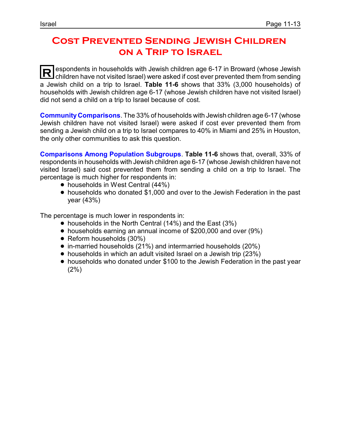### **Cost Prevented Sending Jewish Children on a Trip to Israel**

**R** espondents in households with Jewish children age 6-17 in Broward (whose Jewish children have not visited Israel) were asked if cost ever prevented them from sending a Jewish child on a trip to Israel. **Table 11-6** shows that 33% (3,000 households) of households with Jewish children age 6-17 (whose Jewish children have not visited Israel) did not send a child on a trip to Israel because of cost.

**CommunityComparisons**. The 33% of households with Jewish children age 6-17 (whose Jewish children have not visited Israel) were asked if cost ever prevented them from sending a Jewish child on a trip to Israel compares to 40% in Miami and 25% in Houston, the only other communities to ask this question.

**Comparisons Among Population Subgroups**. **Table 11-6** shows that, overall, 33% of respondents in households with Jewish children age 6-17 (whose Jewish children have not visited Israel) said cost prevented them from sending a child on a trip to Israel. The percentage is much higher for respondents in:

- households in West Central (44%)
- ! households who donated \$1,000 and over to the Jewish Federation in the past year (43%)

The percentage is much lower in respondents in:

- $\bullet$  households in the North Central (14%) and the East (3%)
- households earning an annual income of \$200,000 and over (9%)
- Reform households (30%)
- ! in-married households (21%) and intermarried households (20%)
- households in which an adult visited Israel on a Jewish trip (23%)
- ! households who donated under \$100 to the Jewish Federation in the past year (2%)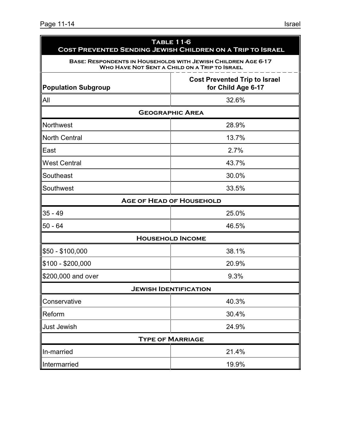|                                                                                   | <b>TABLE 11-6</b><br>COST PREVENTED SENDING JEWISH CHILDREN ON A TRIP TO ISRAEL                                              |  |  |  |  |
|-----------------------------------------------------------------------------------|------------------------------------------------------------------------------------------------------------------------------|--|--|--|--|
|                                                                                   | <b>BASE: RESPONDENTS IN HOUSEHOLDS WITH JEWISH CHILDREN AGE 6-17</b><br><b>WHO HAVE NOT SENT A CHILD ON A TRIP TO ISRAEL</b> |  |  |  |  |
| <b>Cost Prevented Trip to Israel</b><br>for Child Age 6-17<br>Population Subgroup |                                                                                                                              |  |  |  |  |
| All                                                                               | 32.6%                                                                                                                        |  |  |  |  |
|                                                                                   | <b>GEOGRAPHIC AREA</b>                                                                                                       |  |  |  |  |
| Northwest                                                                         | 28.9%                                                                                                                        |  |  |  |  |
| North Central                                                                     | 13.7%                                                                                                                        |  |  |  |  |
| <b>IEast</b>                                                                      | 2.7%                                                                                                                         |  |  |  |  |
| <b>West Central</b>                                                               | 43.7%                                                                                                                        |  |  |  |  |
| Southeast                                                                         | 30.0%                                                                                                                        |  |  |  |  |
| Southwest                                                                         | 33.5%                                                                                                                        |  |  |  |  |
|                                                                                   | <b>AGE OF HEAD OF HOUSEHOLD</b>                                                                                              |  |  |  |  |
| $35 - 49$<br>25.0%                                                                |                                                                                                                              |  |  |  |  |
| 50 - 64                                                                           | 46.5%                                                                                                                        |  |  |  |  |
|                                                                                   | <b>HOUSEHOLD INCOME</b>                                                                                                      |  |  |  |  |
| \$50 - \$100,000                                                                  | 38.1%                                                                                                                        |  |  |  |  |
| \$100 - \$200,000                                                                 | 20.9%                                                                                                                        |  |  |  |  |
| \$200,000 and over                                                                | 9.3%                                                                                                                         |  |  |  |  |
|                                                                                   | <b>JEWISH IDENTIFICATION</b>                                                                                                 |  |  |  |  |
| Conservative                                                                      | 40.3%                                                                                                                        |  |  |  |  |
| Reform                                                                            | 30.4%                                                                                                                        |  |  |  |  |
| <b>Just Jewish</b>                                                                | 24.9%                                                                                                                        |  |  |  |  |
|                                                                                   | <b>TYPE OF MARRIAGE</b>                                                                                                      |  |  |  |  |
| In-married                                                                        | 21.4%                                                                                                                        |  |  |  |  |
| 19.9%<br>Intermarried                                                             |                                                                                                                              |  |  |  |  |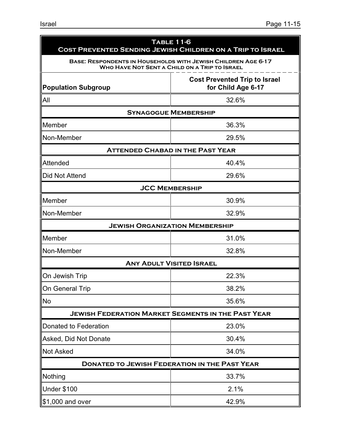| <b>TABLE 11-6</b><br>COST PREVENTED SENDING JEWISH CHILDREN ON A TRIP TO ISRAEL                                       |                                                            |  |  |  |  |
|-----------------------------------------------------------------------------------------------------------------------|------------------------------------------------------------|--|--|--|--|
| <b>BASE: RESPONDENTS IN HOUSEHOLDS WITH JEWISH CHILDREN AGE 6-17</b><br>WHO HAVE NOT SENT A CHILD ON A TRIP TO ISRAEL |                                                            |  |  |  |  |
| <b>Population Subgroup</b>                                                                                            | <b>Cost Prevented Trip to Israel</b><br>for Child Age 6-17 |  |  |  |  |
| All                                                                                                                   | 32.6%                                                      |  |  |  |  |
| <b>SYNAGOGUE MEMBERSHIP</b>                                                                                           |                                                            |  |  |  |  |
| Member                                                                                                                | 36.3%                                                      |  |  |  |  |
| Non-Member                                                                                                            | 29.5%                                                      |  |  |  |  |
| <b>ATTENDED CHABAD IN THE PAST YEAR</b>                                                                               |                                                            |  |  |  |  |
| Attended                                                                                                              | 40.4%                                                      |  |  |  |  |
| Did Not Attend                                                                                                        | 29.6%                                                      |  |  |  |  |
| <b>JCC MEMBERSHIP</b>                                                                                                 |                                                            |  |  |  |  |
| Member                                                                                                                | 30.9%                                                      |  |  |  |  |
| Non-Member                                                                                                            | 32.9%                                                      |  |  |  |  |
| <b>JEWISH ORGANIZATION MEMBERSHIP</b>                                                                                 |                                                            |  |  |  |  |
| Member                                                                                                                | 31.0%                                                      |  |  |  |  |
| Non-Member                                                                                                            | 32.8%                                                      |  |  |  |  |
| <b>ANY ADULT VISITED ISRAEL</b>                                                                                       |                                                            |  |  |  |  |
| On Jewish Trip                                                                                                        | 22.3%                                                      |  |  |  |  |
| On General Trip                                                                                                       | 38.2%                                                      |  |  |  |  |
| <b>No</b>                                                                                                             | 35.6%                                                      |  |  |  |  |
| <b>JEWISH FEDERATION MARKET SEGMENTS IN THE PAST YEAR</b>                                                             |                                                            |  |  |  |  |
| Donated to Federation                                                                                                 | 23.0%                                                      |  |  |  |  |
| Asked, Did Not Donate                                                                                                 | 30.4%                                                      |  |  |  |  |
| <b>Not Asked</b>                                                                                                      | 34.0%                                                      |  |  |  |  |
| <b>DONATED TO JEWISH FEDERATION IN THE PAST YEAR</b>                                                                  |                                                            |  |  |  |  |
| Nothing                                                                                                               | 33.7%                                                      |  |  |  |  |
| <b>Under \$100</b>                                                                                                    | 2.1%                                                       |  |  |  |  |
| \$1,000 and over                                                                                                      | 42.9%                                                      |  |  |  |  |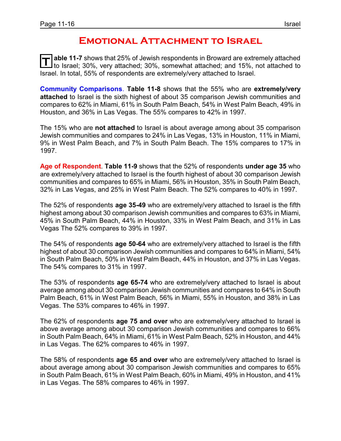#### **Emotional Attachment to Israel**

**T able 11-7** shows that 25% of Jewish respondents in Broward are extremely attached to Israel; 30%, very attached; 30%, somewhat attached; and 15%, not attached to Israel. In total, 55% of respondents are extremely/very attached to Israel.

**Community Comparisons**. **Table 11-8** shows that the 55% who are **extremely/very attached** to Israel is the sixth highest of about 35 comparison Jewish communities and compares to 62% in Miami, 61% in South Palm Beach, 54% in West Palm Beach, 49% in Houston, and 36% in Las Vegas. The 55% compares to 42% in 1997.

The 15% who are **not attached** to Israel is about average among about 35 comparison Jewish communities and compares to 24% in Las Vegas, 13% in Houston, 11% in Miami, 9% in West Palm Beach, and 7% in South Palm Beach. The 15% compares to 17% in 1997.

**Age of Respondent**. **Table 11-9** shows that the 52% of respondents **under age 35** who are extremely/very attached to Israel is the fourth highest of about 30 comparison Jewish communities and compares to 65% in Miami, 56% in Houston, 35% in South Palm Beach, 32% in Las Vegas, and 25% in West Palm Beach. The 52% compares to 40% in 1997.

The 52% of respondents **age 35-49** who are extremely/very attached to Israel is the fifth highest among about 30 comparison Jewish communities and compares to 63% in Miami, 45% in South Palm Beach, 44% in Houston, 33% in West Palm Beach, and 31% in Las Vegas The 52% compares to 39% in 1997.

The 54% of respondents **age 50-64** who are extremely/very attached to Israel is the fifth highest of about 30 comparison Jewish communities and compares to 64% in Miami, 54% in South Palm Beach, 50% in West Palm Beach, 44% in Houston, and 37% in Las Vegas. The 54% compares to 31% in 1997.

The 53% of respondents **age 65-74** who are extremely/very attached to Israel is about average among about 30 comparison Jewish communities and compares to 64% in South Palm Beach, 61% in West Palm Beach, 56% in Miami, 55% in Houston, and 38% in Las Vegas. The 53% compares to 46% in 1997.

The 62% of respondents **age 75 and over** who are extremely/very attached to Israel is above average among about 30 comparison Jewish communities and compares to 66% in South Palm Beach, 64% in Miami, 61% in West Palm Beach, 52% in Houston, and 44% in Las Vegas. The 62% compares to 46% in 1997.

The 58% of respondents **age 65 and over** who are extremely/very attached to Israel is about average among about 30 comparison Jewish communities and compares to 65% in South Palm Beach, 61% in West Palm Beach, 60% in Miami, 49% in Houston, and 41% in Las Vegas. The 58% compares to 46% in 1997.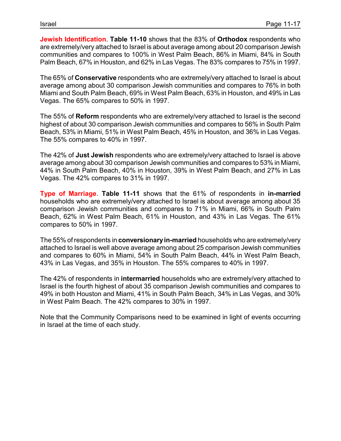**Jewish Identification**. **Table 11-10** shows that the 83% of **Orthodox** respondents who are extremely/very attached to Israel is about average among about 20 comparison Jewish communities and compares to 100% in West Palm Beach, 86% in Miami, 84% in South Palm Beach, 67% in Houston, and 62% in Las Vegas. The 83% compares to 75% in 1997.

The 65% of **Conservative** respondents who are extremely/very attached to Israel is about average among about 30 comparison Jewish communities and compares to 76% in both Miami and South Palm Beach, 69% in West Palm Beach, 63% in Houston, and 49% in Las Vegas. The 65% compares to 50% in 1997.

The 55% of **Reform** respondents who are extremely/very attached to Israel is the second highest of about 30 comparison Jewish communities and compares to 56% in South Palm Beach, 53% in Miami, 51% in West Palm Beach, 45% in Houston, and 36% in Las Vegas. The 55% compares to 40% in 1997.

The 42% of **Just Jewish** respondents who are extremely/very attached to Israel is above average among about 30 comparison Jewish communities and compares to 53% in Miami, 44% in South Palm Beach, 40% in Houston, 39% in West Palm Beach, and 27% in Las Vegas. The 42% compares to 31% in 1997.

**Type of Marriage**. **Table 11-11** shows that the 61% of respondents in **in-married** households who are extremely/very attached to Israel is about average among about 35 comparison Jewish communities and compares to 71% in Miami, 66% in South Palm Beach, 62% in West Palm Beach, 61% in Houston, and 43% in Las Vegas. The 61% compares to 50% in 1997.

The 55% of respondents in **conversionaryin-married** households who are extremely/very attached to Israel is well above average among about 25 comparison Jewish communities and compares to 60% in Miami, 54% in South Palm Beach, 44% in West Palm Beach, 43% in Las Vegas, and 35% in Houston. The 55% compares to 40% in 1997.

The 42% of respondents in **intermarried** households who are extremely/very attached to Israel is the fourth highest of about 35 comparison Jewish communities and compares to 49% in both Houston and Miami, 41% in South Palm Beach, 34% in Las Vegas, and 30% in West Palm Beach. The 42% compares to 30% in 1997.

Note that the Community Comparisons need to be examined in light of events occurring in Israel at the time of each study.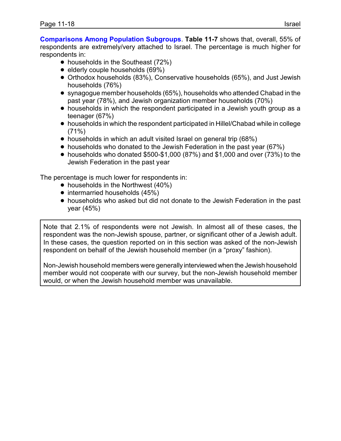**Comparisons Among Population Subgroups**. **Table 11-7** shows that, overall, 55% of respondents are extremely/very attached to Israel. The percentage is much higher for respondents in:

- households in the Southeast (72%)
- $\bullet$  elderly couple households (69%)
- ! Orthodox households (83%), Conservative households (65%), and Just Jewish households (76%)
- synagogue member households (65%), households who attended Chabad in the past year (78%), and Jewish organization member households (70%)
- households in which the respondent participated in a Jewish youth group as a teenager (67%)
- ! households in which the respondent participated in Hillel/Chabad while in college (71%)
- households in which an adult visited Israel on general trip (68%)
- households who donated to the Jewish Federation in the past year (67%)
- households who donated \$500-\$1,000 (87%) and \$1,000 and over (73%) to the Jewish Federation in the past year

The percentage is much lower for respondents in:

- $\bullet$  households in the Northwest (40%)
- $\bullet$  intermarried households (45%)
- ! households who asked but did not donate to the Jewish Federation in the past year (45%)

Note that 2.1% of respondents were not Jewish. In almost all of these cases, the respondent was the non-Jewish spouse, partner, or significant other of a Jewish adult. In these cases, the question reported on in this section was asked of the non-Jewish respondent on behalf of the Jewish household member (in a "proxy" fashion).

Non-Jewish household members were generally interviewed when the Jewish household member would not cooperate with our survey, but the non-Jewish household member would, or when the Jewish household member was unavailable.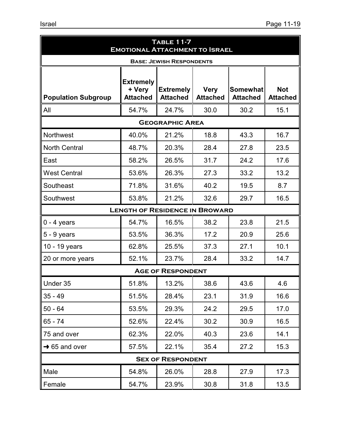| <b>TABLE 11-7</b><br><b>EMOTIONAL ATTACHMENT TO ISRAEL</b> |                                               |                                     |                                |                                    |                               |  |
|------------------------------------------------------------|-----------------------------------------------|-------------------------------------|--------------------------------|------------------------------------|-------------------------------|--|
|                                                            |                                               | <b>BASE: JEWISH RESPONDENTS</b>     |                                |                                    |                               |  |
| <b>Population Subgroup</b>                                 | <b>Extremely</b><br>+ Very<br><b>Attached</b> | <b>Extremely</b><br><b>Attached</b> | <b>Very</b><br><b>Attached</b> | <b>Somewhat</b><br><b>Attached</b> | <b>Not</b><br><b>Attached</b> |  |
| All                                                        | 54.7%                                         | 24.7%                               | 30.0                           | 30.2                               | 15.1                          |  |
|                                                            |                                               | <b>GEOGRAPHIC AREA</b>              |                                |                                    |                               |  |
| Northwest                                                  | 40.0%                                         | 21.2%                               | 18.8                           | 43.3                               | 16.7                          |  |
| <b>North Central</b>                                       | 48.7%                                         | 20.3%                               | 28.4                           | 27.8                               | 23.5                          |  |
| East                                                       | 58.2%                                         | 26.5%                               | 31.7                           | 24.2                               | 17.6                          |  |
| <b>West Central</b>                                        | 53.6%                                         | 26.3%                               | 27.3                           | 33.2                               | 13.2                          |  |
| Southeast                                                  | 71.8%                                         | 31.6%                               | 40.2                           | 19.5                               | 8.7                           |  |
| Southwest                                                  | 53.8%                                         | 21.2%                               | 32.6                           | 29.7                               | 16.5                          |  |
|                                                            | <b>LENGTH OF RESIDENCE IN BROWARD</b>         |                                     |                                |                                    |                               |  |
| $0 - 4$ years                                              | 54.7%                                         | 16.5%                               | 38.2                           | 23.8                               | 21.5                          |  |
| $5 - 9$ years                                              | 53.5%                                         | 36.3%                               | 17.2                           | 20.9                               | 25.6                          |  |
| 10 - 19 years                                              | 62.8%                                         | 25.5%                               | 37.3                           | 27.1                               | 10.1                          |  |
| 20 or more years                                           | 52.1%                                         | 23.7%                               | 28.4                           | 33.2                               | 14.7                          |  |
|                                                            |                                               | <b>AGE OF RESPONDENT</b>            |                                |                                    |                               |  |
| Under 35                                                   | 51.8%                                         | 13.2%                               | 38.6                           | 43.6                               | 4.6                           |  |
| $35 - 49$                                                  | 51.5%                                         | 28.4%                               | 23.1                           | 31.9                               | 16.6                          |  |
| $50 - 64$                                                  | 53.5%                                         | 29.3%                               | 24.2                           | 29.5                               | 17.0                          |  |
| $65 - 74$                                                  | 52.6%                                         | 22.4%                               | 30.2                           | 30.9                               | 16.5                          |  |
| 75 and over                                                | 62.3%                                         | 22.0%                               | 40.3                           | 23.6                               | 14.1                          |  |
| $\rightarrow$ 65 and over                                  | 57.5%                                         | 22.1%                               | 35.4                           | 27.2                               | 15.3                          |  |
|                                                            |                                               | <b>SEX OF RESPONDENT</b>            |                                |                                    |                               |  |
| Male                                                       | 54.8%                                         | 26.0%                               | 28.8                           | 27.9                               | 17.3                          |  |
| Female                                                     | 54.7%                                         | 23.9%                               | 30.8                           | 31.8                               | 13.5                          |  |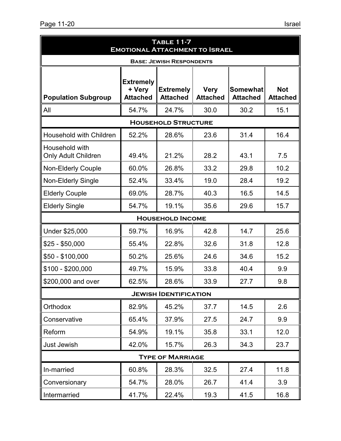| <b>TABLE 11-7</b><br><b>EMOTIONAL ATTACHMENT TO ISRAEL</b> |                                               |                                     |                                |                                    |                               |  |  |
|------------------------------------------------------------|-----------------------------------------------|-------------------------------------|--------------------------------|------------------------------------|-------------------------------|--|--|
|                                                            |                                               | <b>BASE: JEWISH RESPONDENTS</b>     |                                |                                    |                               |  |  |
| <b>Population Subgroup</b>                                 | <b>Extremely</b><br>+ Very<br><b>Attached</b> | <b>Extremely</b><br><b>Attached</b> | <b>Very</b><br><b>Attached</b> | <b>Somewhat</b><br><b>Attached</b> | <b>Not</b><br><b>Attached</b> |  |  |
| All                                                        | 54.7%                                         | 24.7%                               | 30.0                           | 30.2                               | 15.1                          |  |  |
|                                                            |                                               | <b>HOUSEHOLD STRUCTURE</b>          |                                |                                    |                               |  |  |
| Household with Children                                    | 52.2%                                         | 28.6%                               | 23.6                           | 31.4                               | 16.4                          |  |  |
| Household with<br><b>Only Adult Children</b>               | 49.4%                                         | 21.2%                               | 28.2                           | 43.1                               | 7.5                           |  |  |
| <b>Non-Elderly Couple</b>                                  | 60.0%                                         | 26.8%                               | 33.2                           | 29.8                               | 10.2                          |  |  |
| <b>Non-Elderly Single</b>                                  | 52.4%                                         | 33.4%                               | 19.0                           | 28.4                               | 19.2                          |  |  |
| <b>Elderly Couple</b>                                      | 69.0%                                         | 28.7%                               | 40.3                           | 16.5                               | 14.5                          |  |  |
| <b>Elderly Single</b>                                      | 54.7%                                         | 19.1%                               | 35.6                           | 29.6                               | 15.7                          |  |  |
|                                                            |                                               | <b>HOUSEHOLD INCOME</b>             |                                |                                    |                               |  |  |
| Under \$25,000                                             | 59.7%                                         | 16.9%                               | 42.8                           | 14.7                               | 25.6                          |  |  |
| $$25 - $50,000$                                            | 55.4%                                         | 22.8%                               | 32.6                           | 31.8                               | 12.8                          |  |  |
| $$50 - $100,000$                                           | 50.2%                                         | 25.6%                               | 24.6                           | 34.6                               | 15.2                          |  |  |
| $$100 - $200,000$                                          | 49.7%                                         | 15.9%                               | 33.8                           | 40.4                               | 9.9                           |  |  |
| \$200,000 and over                                         | 62.5%                                         | 28.6%                               | 33.9                           | 27.7                               | 9.8                           |  |  |
|                                                            |                                               | <b>JEWISH IDENTIFICATION</b>        |                                |                                    |                               |  |  |
| Orthodox                                                   | 82.9%                                         | 45.2%                               | 37.7                           | 14.5                               | 2.6                           |  |  |
| Conservative                                               | 65.4%                                         | 37.9%                               | 27.5                           | 24.7                               | 9.9                           |  |  |
| Reform                                                     | 54.9%                                         | 19.1%                               | 35.8                           | 33.1                               | 12.0                          |  |  |
| <b>Just Jewish</b>                                         | 42.0%                                         | 15.7%                               | 26.3                           | 34.3                               | 23.7                          |  |  |
|                                                            |                                               | <b>TYPE OF MARRIAGE</b>             |                                |                                    |                               |  |  |
| In-married                                                 | 60.8%                                         | 28.3%                               | 32.5                           | 27.4                               | 11.8                          |  |  |
| Conversionary                                              | 54.7%                                         | 28.0%                               | 26.7                           | 41.4                               | 3.9                           |  |  |
| Intermarried                                               | 41.7%                                         | 22.4%                               | 19.3                           | 41.5                               | 16.8                          |  |  |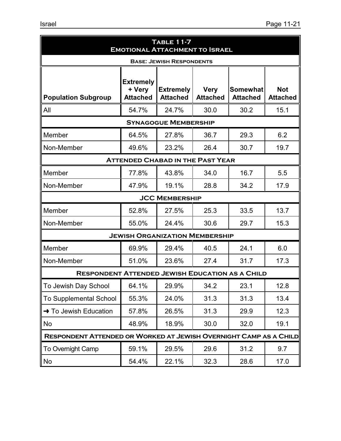| TABLE 11-7<br><b>EMOTIONAL ATTACHMENT TO ISRAEL</b>                                                                                                                                                                         |                                         |                                 |      |      |      |  |  |  |  |
|-----------------------------------------------------------------------------------------------------------------------------------------------------------------------------------------------------------------------------|-----------------------------------------|---------------------------------|------|------|------|--|--|--|--|
|                                                                                                                                                                                                                             |                                         | <b>BASE: JEWISH RESPONDENTS</b> |      |      |      |  |  |  |  |
| <b>Extremely</b><br><b>Not</b><br>+ Very<br><b>Extremely</b><br><b>Very</b><br><b>Somewhat</b><br><b>Attached</b><br><b>Attached</b><br><b>Population Subgroup</b><br><b>Attached</b><br><b>Attached</b><br><b>Attached</b> |                                         |                                 |      |      |      |  |  |  |  |
| All                                                                                                                                                                                                                         | 54.7%                                   | 24.7%                           | 30.0 | 30.2 | 15.1 |  |  |  |  |
|                                                                                                                                                                                                                             |                                         | <b>SYNAGOGUE MEMBERSHIP</b>     |      |      |      |  |  |  |  |
| Member                                                                                                                                                                                                                      | 64.5%                                   | 27.8%                           | 36.7 | 29.3 | 6.2  |  |  |  |  |
| Non-Member                                                                                                                                                                                                                  | 49.6%                                   | 23.2%                           | 26.4 | 30.7 | 19.7 |  |  |  |  |
|                                                                                                                                                                                                                             | <b>ATTENDED CHABAD IN THE PAST YEAR</b> |                                 |      |      |      |  |  |  |  |
| Member                                                                                                                                                                                                                      | 77.8%                                   | 43.8%                           | 34.0 | 16.7 | 5.5  |  |  |  |  |
| Non-Member                                                                                                                                                                                                                  | 47.9%                                   | 19.1%                           | 28.8 | 34.2 | 17.9 |  |  |  |  |
|                                                                                                                                                                                                                             |                                         | <b>JCC MEMBERSHIP</b>           |      |      |      |  |  |  |  |
| Member                                                                                                                                                                                                                      | 52.8%                                   | 27.5%                           | 25.3 | 33.5 | 13.7 |  |  |  |  |
| Non-Member                                                                                                                                                                                                                  | 55.0%                                   | 24.4%                           | 30.6 | 29.7 | 15.3 |  |  |  |  |
|                                                                                                                                                                                                                             | <b>JEWISH ORGANIZATION MEMBERSHIP</b>   |                                 |      |      |      |  |  |  |  |
| Member                                                                                                                                                                                                                      | 69.9%                                   | 29.4%                           | 40.5 | 24.1 | 6.0  |  |  |  |  |
| Non-Member                                                                                                                                                                                                                  | 51.0%                                   | 23.6%                           | 27.4 | 31.7 | 17.3 |  |  |  |  |
| <b>RESPONDENT ATTENDED JEWISH EDUCATION AS A CHILD</b>                                                                                                                                                                      |                                         |                                 |      |      |      |  |  |  |  |
| To Jewish Day School                                                                                                                                                                                                        | 64.1%                                   | 29.9%                           | 34.2 | 23.1 | 12.8 |  |  |  |  |
| <b>To Supplemental School</b>                                                                                                                                                                                               | 55.3%                                   | 24.0%                           | 31.3 | 31.3 | 13.4 |  |  |  |  |
| → To Jewish Education                                                                                                                                                                                                       | 57.8%                                   | 26.5%                           | 31.3 | 29.9 | 12.3 |  |  |  |  |
| No                                                                                                                                                                                                                          | 48.9%                                   | 18.9%                           | 30.0 | 32.0 | 19.1 |  |  |  |  |
| RESPONDENT ATTENDED OR WORKED AT JEWISH OVERNIGHT CAMP AS A CHILD                                                                                                                                                           |                                         |                                 |      |      |      |  |  |  |  |
| To Overnight Camp                                                                                                                                                                                                           | 59.1%                                   | 29.5%                           | 29.6 | 31.2 | 9.7  |  |  |  |  |
| No                                                                                                                                                                                                                          | 54.4%                                   | 22.1%                           | 32.3 | 28.6 | 17.0 |  |  |  |  |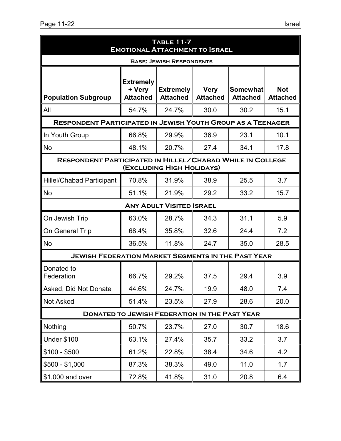|                                                                    | <b>TABLE 11-7</b><br><b>EMOTIONAL ATTACHMENT TO ISRAEL</b> |                                     |                                |                                    |                               |  |  |  |
|--------------------------------------------------------------------|------------------------------------------------------------|-------------------------------------|--------------------------------|------------------------------------|-------------------------------|--|--|--|
| <b>BASE: JEWISH RESPONDENTS</b>                                    |                                                            |                                     |                                |                                    |                               |  |  |  |
| <b>Population Subgroup</b>                                         | <b>Extremely</b><br>+ Very<br><b>Attached</b>              | <b>Extremely</b><br><b>Attached</b> | <b>Very</b><br><b>Attached</b> | <b>Somewhat</b><br><b>Attached</b> | <b>Not</b><br><b>Attached</b> |  |  |  |
| All                                                                | 54.7%                                                      | 24.7%                               | 30.0                           | 30.2                               | 15.1                          |  |  |  |
| <b>RESPONDENT PARTICIPATED IN JEWISH YOUTH GROUP AS A TEENAGER</b> |                                                            |                                     |                                |                                    |                               |  |  |  |
| In Youth Group                                                     | 66.8%                                                      | 29.9%                               | 36.9                           | 23.1                               | 10.1                          |  |  |  |
| No                                                                 | 48.1%                                                      | 20.7%                               | 27.4                           | 34.1                               | 17.8                          |  |  |  |
| <b>RESPONDENT PARTICIPATED IN HILLEL/CHABAD WHILE IN COLLEGE</b>   |                                                            | (EXCLUDING HIGH HOLIDAYS)           |                                |                                    |                               |  |  |  |
| <b>Hillel/Chabad Participant</b>                                   | 70.8%                                                      | 31.9%                               | 38.9                           | 25.5                               | 3.7                           |  |  |  |
| No                                                                 | 51.1%                                                      | 21.9%                               | 29.2                           | 33.2                               | 15.7                          |  |  |  |
|                                                                    |                                                            | <b>ANY ADULT VISITED ISRAEL</b>     |                                |                                    |                               |  |  |  |
| On Jewish Trip                                                     | 63.0%                                                      | 28.7%                               | 34.3                           | 31.1                               | 5.9                           |  |  |  |
| On General Trip                                                    | 68.4%                                                      | 35.8%                               | 32.6                           | 24.4                               | 7.2                           |  |  |  |
| No                                                                 | 36.5%                                                      | 11.8%                               | 24.7                           | 35.0                               | 28.5                          |  |  |  |
| <b>JEWISH FEDERATION MARKET SEGMENTS IN THE PAST YEAR</b>          |                                                            |                                     |                                |                                    |                               |  |  |  |
| Donated to<br>Federation                                           | 66.7%                                                      | 29.2%                               | 37.5                           | 29.4                               | 3.9                           |  |  |  |
| Asked, Did Not Donate                                              | 44.6%                                                      | 24.7%                               | 19.9                           | 48.0                               | 7.4                           |  |  |  |
| <b>Not Asked</b>                                                   | 51.4%                                                      | 23.5%                               | 27.9                           | 28.6                               | 20.0                          |  |  |  |
| <b>DONATED TO JEWISH FEDERATION IN THE PAST YEAR</b>               |                                                            |                                     |                                |                                    |                               |  |  |  |
| Nothing                                                            | 50.7%                                                      | 23.7%                               | 27.0                           | 30.7                               | 18.6                          |  |  |  |
| <b>Under \$100</b>                                                 | 63.1%                                                      | 27.4%                               | 35.7                           | 33.2                               | 3.7                           |  |  |  |
| $$100 - $500$                                                      | 61.2%                                                      | 22.8%                               | 38.4                           | 34.6                               | 4.2                           |  |  |  |
| $$500 - $1,000$                                                    | 87.3%                                                      | 38.3%                               | 49.0                           | 11.0                               | 1.7                           |  |  |  |
| \$1,000 and over                                                   | 72.8%                                                      | 41.8%                               | 31.0                           | 20.8                               | 6.4                           |  |  |  |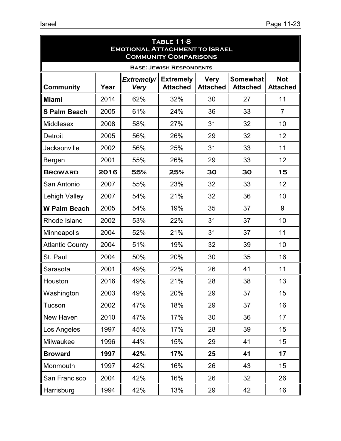| <b>TABLE 11-8</b><br><b>EMOTIONAL ATTACHMENT TO ISRAEL</b><br><b>COMMUNITY COMPARISONS</b> |      |                           |                                     |                                |                                    |                               |  |
|--------------------------------------------------------------------------------------------|------|---------------------------|-------------------------------------|--------------------------------|------------------------------------|-------------------------------|--|
|                                                                                            |      |                           | <b>BASE: JEWISH RESPONDENTS</b>     |                                |                                    |                               |  |
| <b>Community</b>                                                                           | Year | Extremely/<br><b>Very</b> | <b>Extremely</b><br><b>Attached</b> | <b>Very</b><br><b>Attached</b> | <b>Somewhat</b><br><b>Attached</b> | <b>Not</b><br><b>Attached</b> |  |
| <b>Miami</b>                                                                               | 2014 | 62%                       | 32%                                 | 30                             | 27                                 | 11                            |  |
| <b>S Palm Beach</b>                                                                        | 2005 | 61%                       | 24%                                 | 36                             | 33                                 | $\overline{7}$                |  |
| <b>Middlesex</b>                                                                           | 2008 | 58%                       | 27%                                 | 31                             | 32                                 | 10                            |  |
| Detroit                                                                                    | 2005 | 56%                       | 26%                                 | 29                             | 32                                 | 12                            |  |
| <b>Jacksonville</b>                                                                        | 2002 | 56%                       | 25%                                 | 31                             | 33                                 | 11                            |  |
| Bergen                                                                                     | 2001 | 55%                       | 26%                                 | 29                             | 33                                 | 12                            |  |
| <b>BROWARD</b>                                                                             | 2016 | 55%                       | 25%                                 | 30                             | 30                                 | 15                            |  |
| San Antonio                                                                                | 2007 | 55%                       | 23%                                 | 32                             | 33                                 | 12                            |  |
| Lehigh Valley                                                                              | 2007 | 54%                       | 21%                                 | 32                             | 36                                 | 10                            |  |
| <b>W Palm Beach</b>                                                                        | 2005 | 54%                       | 19%                                 | 35                             | 37                                 | 9                             |  |
| Rhode Island                                                                               | 2002 | 53%                       | 22%                                 | 31                             | 37                                 | 10                            |  |
| Minneapolis                                                                                | 2004 | 52%                       | 21%                                 | 31                             | 37                                 | 11                            |  |
| <b>Atlantic County</b>                                                                     | 2004 | 51%                       | 19%                                 | 32                             | 39                                 | 10                            |  |
| St. Paul                                                                                   | 2004 | 50%                       | 20%                                 | 30                             | 35                                 | 16                            |  |
| Sarasota                                                                                   | 2001 | 49%                       | 22%                                 | 26                             | 41                                 | 11                            |  |
| Houston                                                                                    | 2016 | 49%                       | 21%                                 | 28                             | 38                                 | 13                            |  |
| Washington                                                                                 | 2003 | 49%                       | 20%                                 | 29                             | 37                                 | 15                            |  |
| Tucson                                                                                     | 2002 | 47%                       | 18%                                 | 29                             | 37                                 | 16                            |  |
| New Haven                                                                                  | 2010 | 47%                       | 17%                                 | 30                             | 36                                 | 17                            |  |
| Los Angeles                                                                                | 1997 | 45%                       | 17%                                 | 28                             | 39                                 | 15                            |  |
| Milwaukee                                                                                  | 1996 | 44%                       | 15%                                 | 29                             | 41                                 | 15                            |  |
| <b>Broward</b>                                                                             | 1997 | 42%                       | 17%                                 | 25                             | 41                                 | 17                            |  |
| Monmouth                                                                                   | 1997 | 42%                       | 16%                                 | 26                             | 43                                 | 15                            |  |
| San Francisco                                                                              | 2004 | 42%                       | 16%                                 | 26                             | 32                                 | 26                            |  |
| Harrisburg                                                                                 | 1994 | 42%                       | 13%                                 | 29                             | 42                                 | 16                            |  |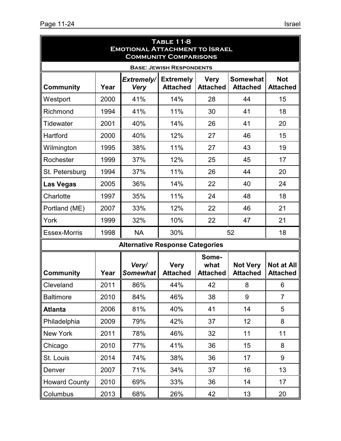| <b>TABLE 11-8</b><br><b>EMOTIONAL ATTACHMENT TO ISRAEL</b><br><b>COMMUNITY COMPARISONS</b> |      |                                        |                                     |                                  |                                    |                                      |  |
|--------------------------------------------------------------------------------------------|------|----------------------------------------|-------------------------------------|----------------------------------|------------------------------------|--------------------------------------|--|
|                                                                                            |      |                                        | <b>BASE: JEWISH RESPONDENTS</b>     |                                  |                                    |                                      |  |
| <b>Community</b>                                                                           | Year | Extremely/<br><b>Very</b>              | <b>Extremely</b><br><b>Attached</b> | <b>Very</b><br><b>Attached</b>   | <b>Somewhat</b><br><b>Attached</b> | <b>Not</b><br><b>Attached</b>        |  |
| Westport                                                                                   | 2000 | 41%                                    | 14%                                 | 28                               | 44                                 | 15                                   |  |
| Richmond                                                                                   | 1994 | 41%                                    | 11%                                 | 30                               | 41                                 | 18                                   |  |
| <b>Tidewater</b>                                                                           | 2001 | 40%                                    | 14%                                 | 26                               | 41                                 | 20                                   |  |
| Hartford                                                                                   | 2000 | 40%                                    | 12%                                 | 27                               | 46                                 | 15                                   |  |
| Wilmington                                                                                 | 1995 | 38%                                    | 11%                                 | 27                               | 43                                 | 19                                   |  |
| Rochester                                                                                  | 1999 | 37%                                    | 12%                                 | 25                               | 45                                 | 17                                   |  |
| St. Petersburg                                                                             | 1994 | 37%                                    | 11%                                 | 26                               | 44                                 | 20                                   |  |
| <b>Las Vegas</b>                                                                           | 2005 | 36%                                    | 14%                                 | 22                               | 40                                 | 24                                   |  |
| Charlotte                                                                                  | 1997 | 35%                                    | 11%                                 | 24                               | 48                                 | 18                                   |  |
| Portland (ME)                                                                              | 2007 | 33%                                    | 12%                                 | 22                               | 46                                 | 21                                   |  |
| York                                                                                       | 1999 | 32%                                    | 10%                                 | 22                               | 47                                 | 21                                   |  |
| <b>Essex-Morris</b>                                                                        | 1998 | <b>NA</b>                              | 30%                                 |                                  | 52                                 | 18                                   |  |
|                                                                                            |      | <b>Alternative Response Categories</b> |                                     |                                  |                                    |                                      |  |
| <b>Community</b>                                                                           | Year | Very/<br><b>Somewhat</b>               | <b>Very</b><br><b>Attached</b>      | Some-<br>what<br><b>Attached</b> | <b>Not Very</b><br><b>Attached</b> | <b>Not at All</b><br><b>Attached</b> |  |
| Cleveland                                                                                  | 2011 | 86%                                    | 44%                                 | 42                               | 8                                  | 6                                    |  |
| <b>Baltimore</b>                                                                           | 2010 | 84%                                    | 46%                                 | 38                               | 9                                  | $\overline{7}$                       |  |
| <b>Atlanta</b>                                                                             | 2006 | 81%                                    | 40%                                 | 41                               | 14                                 | 5                                    |  |
| Philadelphia                                                                               | 2009 | 79%                                    | 42%                                 | 37                               | 12                                 | 8                                    |  |
| New York                                                                                   | 2011 | 78%                                    | 46%                                 | 32                               | 11                                 | 11                                   |  |
| Chicago                                                                                    | 2010 | 77%                                    | 41%                                 | 36                               | 15                                 | 8                                    |  |
| St. Louis                                                                                  | 2014 | 74%                                    | 38%                                 | 36                               | 17                                 | 9                                    |  |
| Denver                                                                                     | 2007 | 71%                                    | 34%                                 | 37                               | 16                                 | 13                                   |  |
| <b>Howard County</b>                                                                       | 2010 | 69%                                    | 33%                                 | 36                               | 14                                 | 17                                   |  |
| Columbus                                                                                   | 2013 | 68%                                    | 26%                                 | 42                               | 13                                 | 20                                   |  |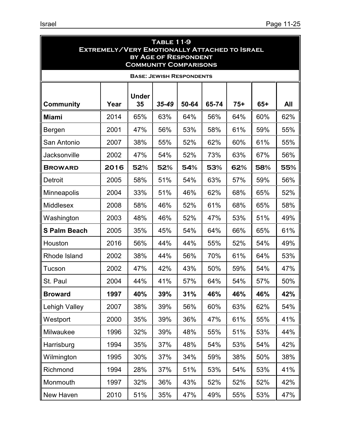| <b>TABLE 11-9</b><br><b>EXTREMELY/VERY EMOTIONALLY ATTACHED TO ISRAEL</b><br><b>BY AGE OF RESPONDENT</b><br><b>COMMUNITY COMPARISONS</b> |      |                    |                                 |       |       |       |       |     |
|------------------------------------------------------------------------------------------------------------------------------------------|------|--------------------|---------------------------------|-------|-------|-------|-------|-----|
|                                                                                                                                          |      |                    | <b>BASE: JEWISH RESPONDENTS</b> |       |       |       |       |     |
| Community                                                                                                                                | Year | <b>Under</b><br>35 | $35 - 49$                       | 50-64 | 65-74 | $75+$ | $65+$ | All |
| <b>Miami</b>                                                                                                                             | 2014 | 65%                | 63%                             | 64%   | 56%   | 64%   | 60%   | 62% |
| Bergen                                                                                                                                   | 2001 | 47%                | 56%                             | 53%   | 58%   | 61%   | 59%   | 55% |
| San Antonio                                                                                                                              | 2007 | 38%                | 55%                             | 52%   | 62%   | 60%   | 61%   | 55% |
| Jacksonville                                                                                                                             | 2002 | 47%                | 54%                             | 52%   | 73%   | 63%   | 67%   | 56% |
| <b>BROWARD</b>                                                                                                                           | 2016 | 52%                | 52%                             | 54%   | 53%   | 62%   | 58%   | 55% |
| Detroit                                                                                                                                  | 2005 | 58%                | 51%                             | 54%   | 63%   | 57%   | 59%   | 56% |
| Minneapolis                                                                                                                              | 2004 | 33%                | 51%                             | 46%   | 62%   | 68%   | 65%   | 52% |
| <b>Middlesex</b>                                                                                                                         | 2008 | 58%                | 46%                             | 52%   | 61%   | 68%   | 65%   | 58% |
| Washington                                                                                                                               | 2003 | 48%                | 46%                             | 52%   | 47%   | 53%   | 51%   | 49% |
| <b>S Palm Beach</b>                                                                                                                      | 2005 | 35%                | 45%                             | 54%   | 64%   | 66%   | 65%   | 61% |
| Houston                                                                                                                                  | 2016 | 56%                | 44%                             | 44%   | 55%   | 52%   | 54%   | 49% |
| Rhode Island                                                                                                                             | 2002 | 38%                | 44%                             | 56%   | 70%   | 61%   | 64%   | 53% |
| Tucson                                                                                                                                   | 2002 | 47%                | 42%                             | 43%   | 50%   | 59%   | 54%   | 47% |
| St. Paul                                                                                                                                 | 2004 | 44%                | 41%                             | 57%   | 64%   | 54%   | 57%   | 50% |
| <b>Broward</b>                                                                                                                           | 1997 | 40%                | 39%                             | 31%   | 46%   | 46%   | 46%   | 42% |
| <b>Lehigh Valley</b>                                                                                                                     | 2007 | 38%                | 39%                             | 56%   | 60%   | 63%   | 62%   | 54% |
| Westport                                                                                                                                 | 2000 | 35%                | 39%                             | 36%   | 47%   | 61%   | 55%   | 41% |
| Milwaukee                                                                                                                                | 1996 | 32%                | 39%                             | 48%   | 55%   | 51%   | 53%   | 44% |
| Harrisburg                                                                                                                               | 1994 | 35%                | 37%                             | 48%   | 54%   | 53%   | 54%   | 42% |
| Wilmington                                                                                                                               | 1995 | 30%                | 37%                             | 34%   | 59%   | 38%   | 50%   | 38% |
| Richmond                                                                                                                                 | 1994 | 28%                | 37%                             | 51%   | 53%   | 54%   | 53%   | 41% |
| Monmouth                                                                                                                                 | 1997 | 32%                | 36%                             | 43%   | 52%   | 52%   | 52%   | 42% |
| New Haven                                                                                                                                | 2010 | 51%                | 35%                             | 47%   | 49%   | 55%   | 53%   | 47% |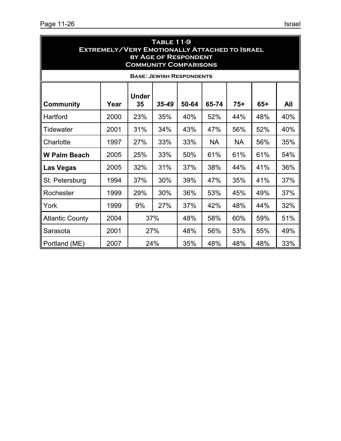| <b>TABLE 11-9</b><br><b>EXTREMELY/VERY EMOTIONALLY ATTACHED TO ISRAEL</b><br><b>BY AGE OF RESPONDENT</b><br><b>COMMUNITY COMPARISONS</b> |      |     |                                 |     |           |           |     |     |
|------------------------------------------------------------------------------------------------------------------------------------------|------|-----|---------------------------------|-----|-----------|-----------|-----|-----|
|                                                                                                                                          |      |     | <b>BASE: JEWISH RESPONDENTS</b> |     |           |           |     |     |
| <b>Under</b><br>50-64<br>65-74<br>$75+$<br>$65+$<br>Year<br>35<br>$35 - 49$<br>All<br><b>Community</b>                                   |      |     |                                 |     |           |           |     |     |
| Hartford                                                                                                                                 | 2000 | 23% | 35%                             | 40% | 52%       | 44%       | 48% | 40% |
| Tidewater                                                                                                                                | 2001 | 31% | 34%                             | 43% | 47%       | 56%       | 52% | 40% |
| Charlotte                                                                                                                                | 1997 | 27% | 33%                             | 33% | <b>NA</b> | <b>NA</b> | 56% | 35% |
| <b>W Palm Beach</b>                                                                                                                      | 2005 | 25% | 33%                             | 50% | 61%       | 61%       | 61% | 54% |
| <b>Las Vegas</b>                                                                                                                         | 2005 | 32% | 31%                             | 37% | 38%       | 44%       | 41% | 36% |
| St. Petersburg                                                                                                                           | 1994 | 37% | 30%                             | 39% | 47%       | 35%       | 41% | 37% |
| Rochester                                                                                                                                | 1999 | 29% | 30%                             | 36% | 53%       | 45%       | 49% | 37% |
| York                                                                                                                                     | 1999 | 9%  | 27%                             | 37% | 42%       | 48%       | 44% | 32% |
| <b>Atlantic County</b>                                                                                                                   | 2004 |     | 37%                             | 48% | 58%       | 60%       | 59% | 51% |
| Sarasota                                                                                                                                 | 2001 |     | 27%                             | 48% | 56%       | 53%       | 55% | 49% |
| Portland (ME)                                                                                                                            | 2007 |     | 24%                             | 35% | 48%       | 48%       | 48% | 33% |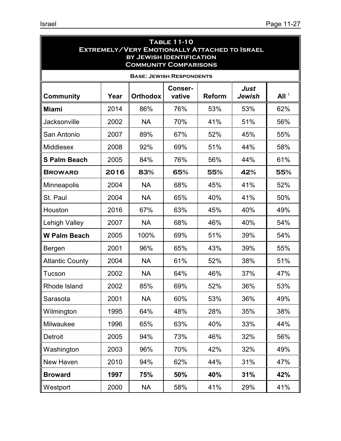| <b>TABLE 11-10</b><br><b>EXTREMELY/VERY EMOTIONALLY ATTACHED TO ISRAEL</b><br><b>BY JEWISH IDENTIFICATION</b><br><b>COMMUNITY COMPARISONS</b> |                                                                                                            |           |                                 |     |     |     |  |  |
|-----------------------------------------------------------------------------------------------------------------------------------------------|------------------------------------------------------------------------------------------------------------|-----------|---------------------------------|-----|-----|-----|--|--|
|                                                                                                                                               |                                                                                                            |           | <b>BASE: JEWISH RESPONDENTS</b> |     |     |     |  |  |
| <b>Community</b>                                                                                                                              | Just<br><b>Conser-</b><br>All <sup>1</sup><br><b>Orthodox</b><br>vative<br><b>Reform</b><br>Jewish<br>Year |           |                                 |     |     |     |  |  |
| <b>Miami</b>                                                                                                                                  | 2014                                                                                                       | 86%       | 76%                             | 53% | 53% | 62% |  |  |
| Jacksonville                                                                                                                                  | 2002                                                                                                       | <b>NA</b> | 70%                             | 41% | 51% | 56% |  |  |
| San Antonio                                                                                                                                   | 2007                                                                                                       | 89%       | 67%                             | 52% | 45% | 55% |  |  |
| Middlesex                                                                                                                                     | 2008                                                                                                       | 92%       | 69%                             | 51% | 44% | 58% |  |  |
| <b>S Palm Beach</b>                                                                                                                           | 2005                                                                                                       | 84%       | 76%                             | 56% | 44% | 61% |  |  |
| <b>BROWARD</b>                                                                                                                                | 2016                                                                                                       | 83%       | 65%                             | 55% | 42% | 55% |  |  |
| <b>Minneapolis</b>                                                                                                                            | 2004                                                                                                       | <b>NA</b> | 68%                             | 45% | 41% | 52% |  |  |
| St. Paul                                                                                                                                      | 2004                                                                                                       | <b>NA</b> | 65%                             | 40% | 41% | 50% |  |  |
| Houston                                                                                                                                       | 2016                                                                                                       | 67%       | 63%                             | 45% | 40% | 49% |  |  |
| Lehigh Valley                                                                                                                                 | 2007                                                                                                       | <b>NA</b> | 68%                             | 46% | 40% | 54% |  |  |
| <b>W Palm Beach</b>                                                                                                                           | 2005                                                                                                       | 100%      | 69%                             | 51% | 39% | 54% |  |  |
| Bergen                                                                                                                                        | 2001                                                                                                       | 96%       | 65%                             | 43% | 39% | 55% |  |  |
| <b>Atlantic County</b>                                                                                                                        | 2004                                                                                                       | <b>NA</b> | 61%                             | 52% | 38% | 51% |  |  |
| Tucson                                                                                                                                        | 2002                                                                                                       | <b>NA</b> | 64%                             | 46% | 37% | 47% |  |  |
| Rhode Island                                                                                                                                  | 2002                                                                                                       | 85%       | 69%                             | 52% | 36% | 53% |  |  |
| Sarasota                                                                                                                                      | 2001                                                                                                       | <b>NA</b> | 60%                             | 53% | 36% | 49% |  |  |
| Wilmington                                                                                                                                    | 1995                                                                                                       | 64%       | 48%                             | 28% | 35% | 38% |  |  |
| Milwaukee                                                                                                                                     | 1996                                                                                                       | 65%       | 63%                             | 40% | 33% | 44% |  |  |
| Detroit                                                                                                                                       | 2005                                                                                                       | 94%       | 73%                             | 46% | 32% | 56% |  |  |
| Washington                                                                                                                                    | 2003                                                                                                       | 96%       | 70%                             | 42% | 32% | 49% |  |  |
| New Haven                                                                                                                                     | 2010                                                                                                       | 94%       | 62%                             | 44% | 31% | 47% |  |  |
| <b>Broward</b>                                                                                                                                | 1997                                                                                                       | 75%       | 50%                             | 40% | 31% | 42% |  |  |
| Westport                                                                                                                                      | 2000                                                                                                       | <b>NA</b> | 58%                             | 41% | 29% | 41% |  |  |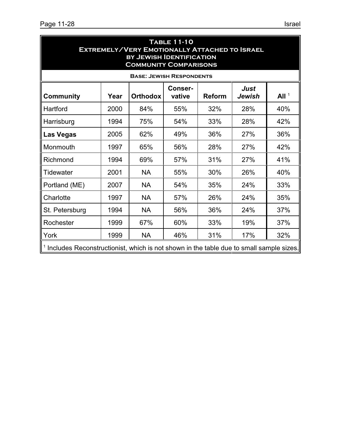| <b>TABLE 11-10</b><br><b>EXTREMELY/VERY EMOTIONALLY ATTACHED TO ISRAEL</b><br><b>BY JEWISH IDENTIFICATION</b><br><b>COMMUNITY COMPARISONS</b> |      |           |                                 |     |     |     |  |  |
|-----------------------------------------------------------------------------------------------------------------------------------------------|------|-----------|---------------------------------|-----|-----|-----|--|--|
|                                                                                                                                               |      |           | <b>BASE: JEWISH RESPONDENTS</b> |     |     |     |  |  |
| <b>Just</b><br><b>Conser-</b><br>All <sup>1</sup><br><b>Community</b><br><b>Orthodox</b><br><b>Reform</b><br>Year<br>vative<br>Jewish         |      |           |                                 |     |     |     |  |  |
| Hartford                                                                                                                                      | 2000 | 84%       | 55%                             | 32% | 28% | 40% |  |  |
| Harrisburg                                                                                                                                    | 1994 | 75%       | 54%                             | 33% | 28% | 42% |  |  |
| 2005<br>62%<br>49%<br>36%<br>27%<br>36%<br><b>Las Vegas</b>                                                                                   |      |           |                                 |     |     |     |  |  |
| Monmouth                                                                                                                                      | 1997 | 65%       | 56%                             | 28% | 27% | 42% |  |  |
| Richmond                                                                                                                                      | 1994 | 69%       | 57%                             | 31% | 27% | 41% |  |  |
| Tidewater                                                                                                                                     | 2001 | <b>NA</b> | 55%                             | 30% | 26% | 40% |  |  |
| Portland (ME)                                                                                                                                 | 2007 | <b>NA</b> | 54%                             | 35% | 24% | 33% |  |  |
| Charlotte                                                                                                                                     | 1997 | <b>NA</b> | 57%                             | 26% | 24% | 35% |  |  |
| St. Petersburg                                                                                                                                | 1994 | <b>NA</b> | 56%                             | 36% | 24% | 37% |  |  |
| Rochester                                                                                                                                     | 1999 | 67%       | 60%                             | 33% | 19% | 37% |  |  |
| York                                                                                                                                          | 1999 | <b>NA</b> | 46%                             | 31% | 17% | 32% |  |  |
| <sup>1</sup> Includes Reconstructionist, which is not shown in the table due to small sample sizes.                                           |      |           |                                 |     |     |     |  |  |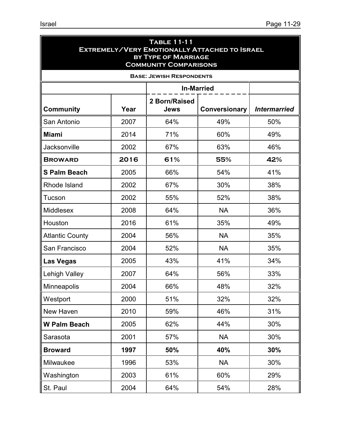| <b>TABLE 11-11</b><br><b>EXTREMELY/VERY EMOTIONALLY ATTACHED TO ISRAEL</b><br><b>BY TYPE OF MARRIAGE</b><br><b>COMMUNITY COMPARISONS</b> |      |                                 |               |                     |  |  |  |
|------------------------------------------------------------------------------------------------------------------------------------------|------|---------------------------------|---------------|---------------------|--|--|--|
|                                                                                                                                          |      | <b>BASE: JEWISH RESPONDENTS</b> |               |                     |  |  |  |
| <b>In-Married</b>                                                                                                                        |      |                                 |               |                     |  |  |  |
| <b>Community</b>                                                                                                                         | Year | 2 Born/Raised<br>Jews           | Conversionary | <b>Intermarried</b> |  |  |  |
| San Antonio                                                                                                                              | 2007 | 64%                             | 49%           | 50%                 |  |  |  |
| <b>Miami</b>                                                                                                                             | 2014 | 71%                             | 60%           | 49%                 |  |  |  |
| <b>Jacksonville</b>                                                                                                                      | 2002 | 67%                             | 63%           | 46%                 |  |  |  |
| <b>BROWARD</b>                                                                                                                           | 2016 | 61%                             | 55%           | 42%                 |  |  |  |
| <b>S Palm Beach</b>                                                                                                                      | 2005 | 66%                             | 54%           | 41%                 |  |  |  |
| Rhode Island                                                                                                                             | 2002 | 67%                             | 30%           | 38%                 |  |  |  |
| Tucson                                                                                                                                   | 2002 | 55%                             | 52%           | 38%                 |  |  |  |
| <b>Middlesex</b>                                                                                                                         | 2008 | 64%                             | <b>NA</b>     | 36%                 |  |  |  |
| Houston                                                                                                                                  | 2016 | 61%                             | 35%           | 49%                 |  |  |  |
| <b>Atlantic County</b>                                                                                                                   | 2004 | 56%                             | <b>NA</b>     | 35%                 |  |  |  |
| San Francisco                                                                                                                            | 2004 | 52%                             | <b>NA</b>     | 35%                 |  |  |  |
| Las Vegas                                                                                                                                | 2005 | 43%                             | 41%           | 34%                 |  |  |  |
| <b>Lehigh Valley</b>                                                                                                                     | 2007 | 64%                             | 56%           | 33%                 |  |  |  |
| Minneapolis                                                                                                                              | 2004 | 66%                             | 48%           | 32%                 |  |  |  |
| Westport                                                                                                                                 | 2000 | 51%                             | 32%           | 32%                 |  |  |  |
| New Haven                                                                                                                                | 2010 | 59%                             | 46%           | 31%                 |  |  |  |
| <b>W Palm Beach</b>                                                                                                                      | 2005 | 62%                             | 44%           | 30%                 |  |  |  |
| Sarasota                                                                                                                                 | 2001 | 57%                             | <b>NA</b>     | 30%                 |  |  |  |
| <b>Broward</b>                                                                                                                           | 1997 | 50%                             | 40%           | 30%                 |  |  |  |
| Milwaukee                                                                                                                                | 1996 | 53%                             | <b>NA</b>     | 30%                 |  |  |  |
| Washington                                                                                                                               | 2003 | 61%                             | 60%           | 29%                 |  |  |  |
| St. Paul                                                                                                                                 | 2004 | 64%                             | 54%           | 28%                 |  |  |  |